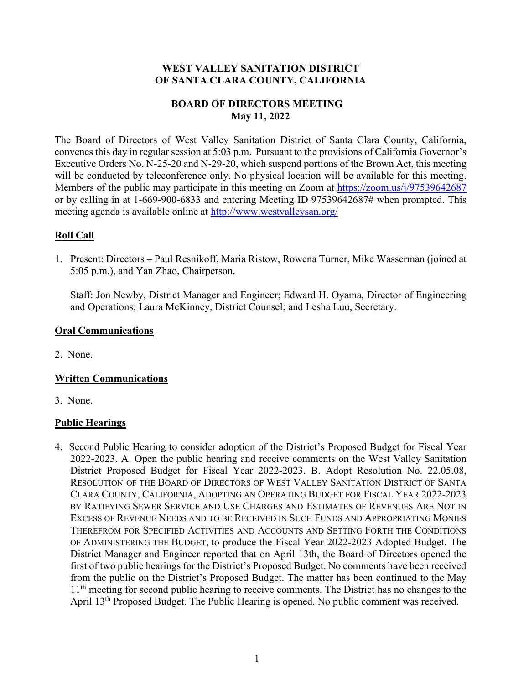### **WEST VALLEY SANITATION DISTRICT OF SANTA CLARA COUNTY, CALIFORNIA**

# **BOARD OF DIRECTORS MEETING May 11, 2022**

The Board of Directors of West Valley Sanitation District of Santa Clara County, California, convenes this day in regular session at 5:03 p.m. Pursuant to the provisions of California Governor's Executive Orders No. N-25-20 and N-29-20, which suspend portions of the Brown Act, this meeting will be conducted by teleconference only. No physical location will be available for this meeting. Members of the public may participate in this meeting on Zoom at<https://zoom.us/j/97539642687> or by calling in at 1-669-900-6833 and entering Meeting ID 97539642687# when prompted. This meeting agenda is available online at<http://www.westvalleysan.org/>

# **Roll Call**

1. Present: Directors – Paul Resnikoff, Maria Ristow, Rowena Turner, Mike Wasserman (joined at 5:05 p.m.), and Yan Zhao, Chairperson.

Staff: Jon Newby, District Manager and Engineer; Edward H. Oyama, Director of Engineering and Operations; Laura McKinney, District Counsel; and Lesha Luu, Secretary.

# **Oral Communications**

2. None.

# **Written Communications**

3. None.

# **Public Hearings**

4. Second Public Hearing to consider adoption of the District's Proposed Budget for Fiscal Year 2022-2023. A. Open the public hearing and receive comments on the West Valley Sanitation District Proposed Budget for Fiscal Year 2022-2023. B. Adopt Resolution No. 22.05.08, RESOLUTION OF THE BOARD OF DIRECTORS OF WEST VALLEY SANITATION DISTRICT OF SANTA CLARA COUNTY, CALIFORNIA, ADOPTING AN OPERATING BUDGET FOR FISCAL YEAR 2022-2023 BY RATIFYING SEWER SERVICE AND USE CHARGES AND ESTIMATES OF REVENUES ARE NOT IN EXCESS OF REVENUE NEEDS AND TO BE RECEIVED IN SUCH FUNDS AND APPROPRIATING MONIES THEREFROM FOR SPECIFIED ACTIVITIES AND ACCOUNTS AND SETTING FORTH THE CONDITIONS OF ADMINISTERING THE BUDGET, to produce the Fiscal Year 2022-2023 Adopted Budget. The District Manager and Engineer reported that on April 13th, the Board of Directors opened the first of two public hearings for the District's Proposed Budget. No comments have been received from the public on the District's Proposed Budget. The matter has been continued to the May 11<sup>th</sup> meeting for second public hearing to receive comments. The District has no changes to the April 13th Proposed Budget. The Public Hearing is opened. No public comment was received.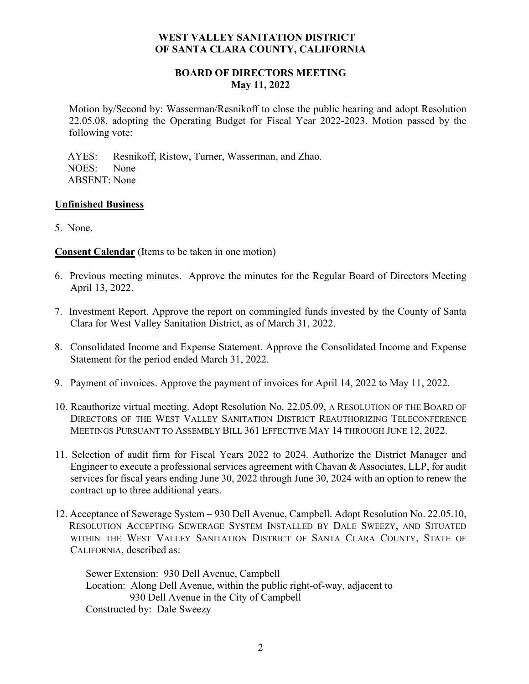### **WEST VALLEY SANITATION DISTRICT OF SANTA CLARA COUNTY, CALIFORNIA**

### **BOARD OF DIRECTORS MEETING May 11, 2022**

Motion by/Second by: Wasserman/Resnikoff to close the public hearing and adopt Resolution 22.05.08, adopting the Operating Budget for Fiscal Year 2022-2023. Motion passed by the following vote:

 AYES: Resnikoff, Ristow, Turner, Wasserman, and Zhao. NOES: None ABSENT: None

#### **Unfinished Business**

5. None.

**Consent Calendar** (Items to be taken in one motion)

- 6. Previous meeting minutes. Approve the minutes for the Regular Board of Directors Meeting April 13, 2022.
- 7. Investment Report. Approve the report on commingled funds invested by the County of Santa Clara for West Valley Sanitation District, as of March 31, 2022.
- 8. Consolidated Income and Expense Statement. Approve the Consolidated Income and Expense Statement for the period ended March 31, 2022.
- 9. Payment of invoices. Approve the payment of invoices for April 14, 2022 to May 11, 2022.
- 10. Reauthorize virtual meeting. Adopt Resolution No. 22.05.09, A RESOLUTION OF THE BOARD OF DIRECTORS OF THE WEST VALLEY SANITATION DISTRICT REAUTHORIZING TELECONFERENCE MEETINGS PURSUANT TO ASSEMBLY BILL 361 EFFECTIVE MAY 14 THROUGH JUNE 12, 2022.
- 11. Selection of audit firm for Fiscal Years 2022 to 2024. Authorize the District Manager and Engineer to execute a professional services agreement with Chavan & Associates, LLP, for audit services for fiscal years ending June 30, 2022 through June 30, 2024 with an option to renew the contract up to three additional years.
- 12. Acceptance of Sewerage System 930 Dell Avenue, Campbell. Adopt Resolution No. 22.05.10, RESOLUTION ACCEPTING SEWERAGE SYSTEM INSTALLED BY DALE SWEEZY, AND SITUATED WITHIN THE WEST VALLEY SANITATION DISTRICT OF SANTA CLARA COUNTY, STATE OF CALIFORNIA, described as:

Sewer Extension: 930 Dell Avenue, Campbell Location: Along Dell Avenue, within the public right-of-way, adjacent to 930 Dell Avenue in the City of Campbell Constructed by: Dale Sweezy